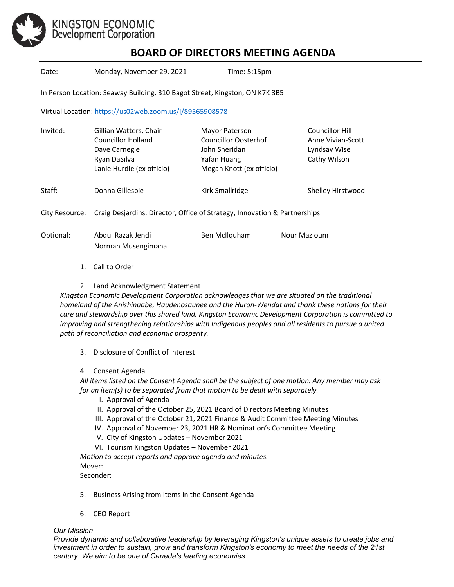

## **BOARD OF DIRECTORS MEETING AGENDA**

Date: Monday, November 29, 2021 Time: 5:15pm

In Person Location: Seaway Building, 310 Bagot Street, Kingston, ON K7K 3B5

Virtual Location[: https://us02web.zoom.us/j/89565908578](https://us02web.zoom.us/j/89565908578)

| Invited:       | Gillian Watters, Chair<br>Councillor Holland<br>Dave Carnegie<br>Ryan DaSilva<br>Lanie Hurdle (ex officio) | Mayor Paterson<br><b>Councillor Oosterhof</b><br>John Sheridan<br>Yafan Huang<br>Megan Knott (ex officio) |              | <b>Councillor Hill</b><br>Anne Vivian-Scott<br>Lyndsay Wise<br>Cathy Wilson |
|----------------|------------------------------------------------------------------------------------------------------------|-----------------------------------------------------------------------------------------------------------|--------------|-----------------------------------------------------------------------------|
| Staff:         | Donna Gillespie                                                                                            | Kirk Smallridge                                                                                           |              | Shelley Hirstwood                                                           |
| City Resource: | Craig Desjardins, Director, Office of Strategy, Innovation & Partnerships                                  |                                                                                                           |              |                                                                             |
| Optional:      | Abdul Razak Jendi<br>Norman Musengimana                                                                    | Ben McIlquham                                                                                             | Nour Mazloum |                                                                             |

- 1. Call to Order
- 2. Land Acknowledgment Statement

*Kingston Economic Development Corporation acknowledges that we are situated on the traditional homeland of the Anishinaabe, Haudenosaunee and the Huron-Wendat and thank these nations for their care and stewardship over this shared land. Kingston Economic Development Corporation is committed to improving and strengthening relationships with Indigenous peoples and all residents to pursue a united path of reconciliation and economic prosperity.*

3. Disclosure of Conflict of Interest

#### 4. Consent Agenda

*All items listed on the Consent Agenda shall be the subject of one motion. Any member may ask for an item(s) to be separated from that motion to be dealt with separately.*

- I. Approval of Agenda
- II. Approval of the October 25, 2021 Board of Directors Meeting Minutes
- III. Approval of the October 21, 2021 Finance & Audit Committee Meeting Minutes
- IV. Approval of November 23, 2021 HR & Nomination's Committee Meeting
- V. City of Kingston Updates November 2021
- VI. Tourism Kingston Updates November 2021

*Motion to accept reports and approve agenda and minutes.*  Mover: Seconder:

- 5. Business Arising from Items in the Consent Agenda
- 6. CEO Report

#### *Our Mission*

*Provide dynamic and collaborative leadership by leveraging Kingston's unique assets to create jobs and investment in order to sustain, grow and transform Kingston's economy to meet the needs of the 21st century. We aim to be one of Canada's leading economies.*